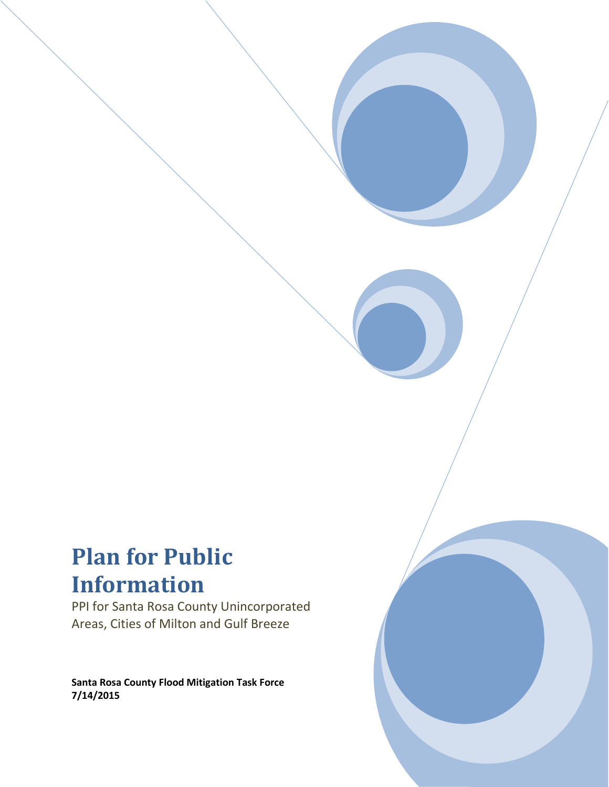# **Plan for Public Information**

PPI for Santa Rosa County Unincorporated Areas, Cities of Milton and Gulf Breeze

**Santa Rosa County Flood Mitigation Task Force 7/14/2015**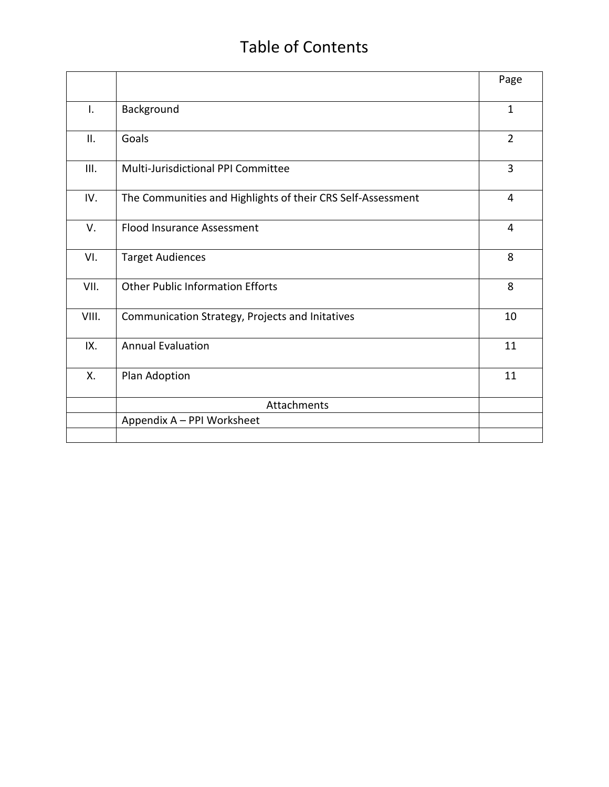# Table of Contents

|       |                                                             | Page           |
|-------|-------------------------------------------------------------|----------------|
| I.    | Background                                                  | $\mathbf{1}$   |
| II.   | Goals                                                       | $\overline{2}$ |
| III.  | Multi-Jurisdictional PPI Committee                          | 3              |
| IV.   | The Communities and Highlights of their CRS Self-Assessment | 4              |
| V.    | <b>Flood Insurance Assessment</b>                           | 4              |
| VI.   | <b>Target Audiences</b>                                     | 8              |
| VII.  | <b>Other Public Information Efforts</b>                     | 8              |
| VIII. | Communication Strategy, Projects and Initatives             | 10             |
| IX.   | <b>Annual Evaluation</b>                                    | 11             |
| Χ.    | Plan Adoption                                               | 11             |
|       | Attachments                                                 |                |
|       | Appendix A - PPI Worksheet                                  |                |
|       |                                                             |                |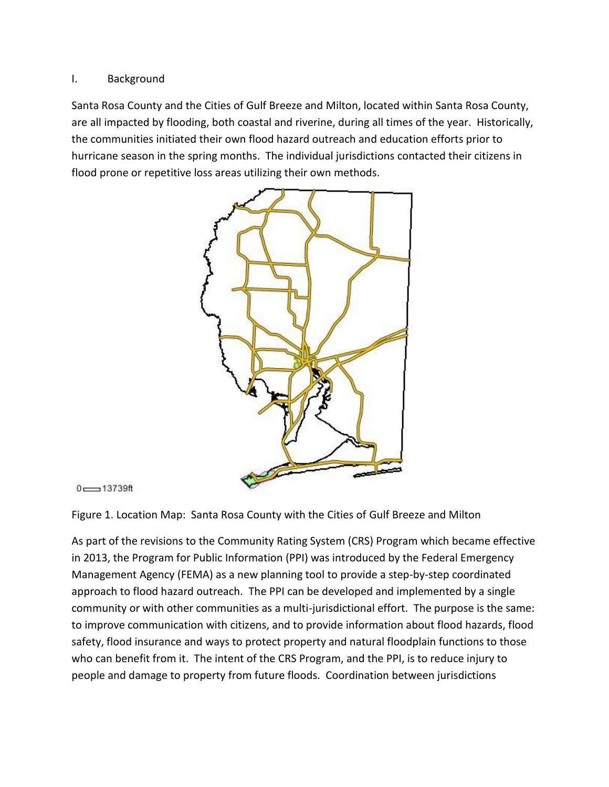### I. Background

Santa Rosa County and the Cities of Gulf Breeze and Milton, located within Santa Rosa County, are all impacted by flooding, both coastal and riverine, during all times of the year. Historically, the communities initiated their own flood hazard outreach and education efforts prior to hurricane season in the spring months. The individual jurisdictions contacted their citizens in flood prone or repetitive loss areas utilizing their own methods.



```
0 \longrightarrow 13739ft
```
Figure 1. Location Map: Santa Rosa County with the Cities of Gulf Breeze and Milton

As part of the revisions to the Community Rating System (CRS) Program which became effective in 2013, the Program for Public Information (PPI) was introduced by the Federal Emergency Management Agency (FEMA) as a new planning tool to provide a step-by-step coordinated approach to flood hazard outreach. The PPI can be developed and implemented by a single community or with other communities as a multi-jurisdictional effort. The purpose is the same: to improve communication with citizens, and to provide information about flood hazards, flood safety, flood insurance and ways to protect property and natural floodplain functions to those who can benefit from it. The intent of the CRS Program, and the PPI, is to reduce injury to people and damage to property from future floods. Coordination between jurisdictions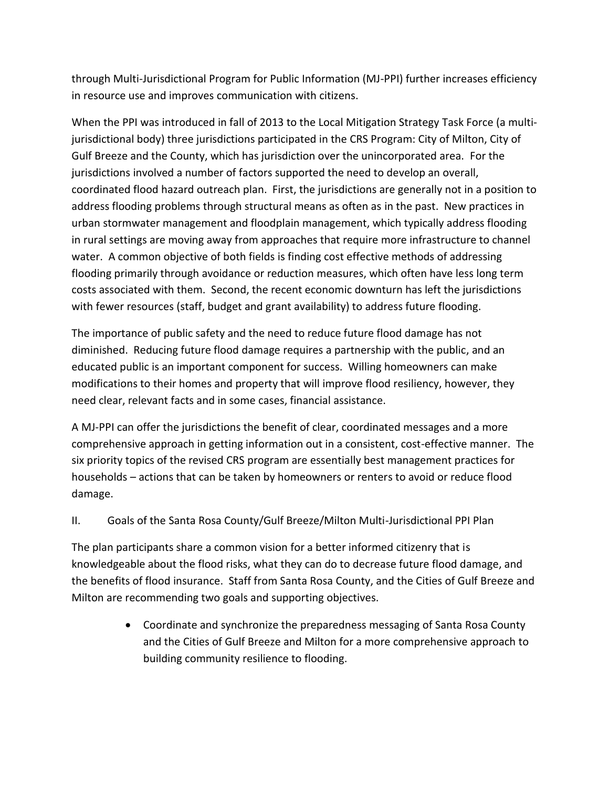through Multi-Jurisdictional Program for Public Information (MJ-PPI) further increases efficiency in resource use and improves communication with citizens.

When the PPI was introduced in fall of 2013 to the Local Mitigation Strategy Task Force (a multijurisdictional body) three jurisdictions participated in the CRS Program: City of Milton, City of Gulf Breeze and the County, which has jurisdiction over the unincorporated area. For the jurisdictions involved a number of factors supported the need to develop an overall, coordinated flood hazard outreach plan. First, the jurisdictions are generally not in a position to address flooding problems through structural means as often as in the past. New practices in urban stormwater management and floodplain management, which typically address flooding in rural settings are moving away from approaches that require more infrastructure to channel water. A common objective of both fields is finding cost effective methods of addressing flooding primarily through avoidance or reduction measures, which often have less long term costs associated with them. Second, the recent economic downturn has left the jurisdictions with fewer resources (staff, budget and grant availability) to address future flooding.

The importance of public safety and the need to reduce future flood damage has not diminished. Reducing future flood damage requires a partnership with the public, and an educated public is an important component for success. Willing homeowners can make modifications to their homes and property that will improve flood resiliency, however, they need clear, relevant facts and in some cases, financial assistance.

A MJ-PPI can offer the jurisdictions the benefit of clear, coordinated messages and a more comprehensive approach in getting information out in a consistent, cost-effective manner. The six priority topics of the revised CRS program are essentially best management practices for households – actions that can be taken by homeowners or renters to avoid or reduce flood damage.

# II. Goals of the Santa Rosa County/Gulf Breeze/Milton Multi-Jurisdictional PPI Plan

The plan participants share a common vision for a better informed citizenry that is knowledgeable about the flood risks, what they can do to decrease future flood damage, and the benefits of flood insurance. Staff from Santa Rosa County, and the Cities of Gulf Breeze and Milton are recommending two goals and supporting objectives.

> Coordinate and synchronize the preparedness messaging of Santa Rosa County and the Cities of Gulf Breeze and Milton for a more comprehensive approach to building community resilience to flooding.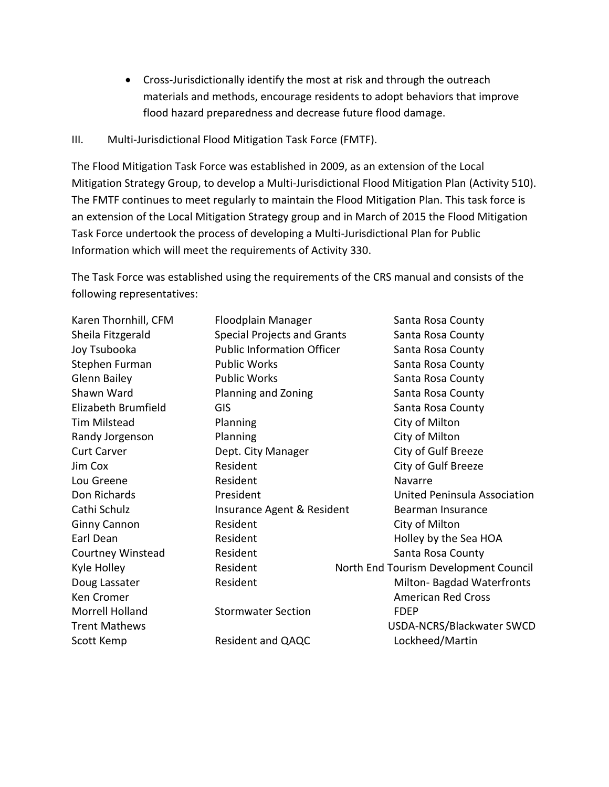- Cross-Jurisdictionally identify the most at risk and through the outreach materials and methods, encourage residents to adopt behaviors that improve flood hazard preparedness and decrease future flood damage.
- III. Multi-Jurisdictional Flood Mitigation Task Force (FMTF).

The Flood Mitigation Task Force was established in 2009, as an extension of the Local Mitigation Strategy Group, to develop a Multi-Jurisdictional Flood Mitigation Plan (Activity 510). The FMTF continues to meet regularly to maintain the Flood Mitigation Plan. This task force is an extension of the Local Mitigation Strategy group and in March of 2015 the Flood Mitigation Task Force undertook the process of developing a Multi-Jurisdictional Plan for Public Information which will meet the requirements of Activity 330.

The Task Force was established using the requirements of the CRS manual and consists of the following representatives:

| Karen Thornhill, CFM | Floodplain Manager                 | Santa Rosa County                     |
|----------------------|------------------------------------|---------------------------------------|
| Sheila Fitzgerald    | <b>Special Projects and Grants</b> | Santa Rosa County                     |
| Joy Tsubooka         | <b>Public Information Officer</b>  | Santa Rosa County                     |
| Stephen Furman       | <b>Public Works</b>                | Santa Rosa County                     |
| <b>Glenn Bailey</b>  | <b>Public Works</b>                | Santa Rosa County                     |
| Shawn Ward           | Planning and Zoning                | Santa Rosa County                     |
| Elizabeth Brumfield  | <b>GIS</b>                         | Santa Rosa County                     |
| <b>Tim Milstead</b>  | Planning                           | City of Milton                        |
| Randy Jorgenson      | Planning                           | City of Milton                        |
| <b>Curt Carver</b>   | Dept. City Manager                 | City of Gulf Breeze                   |
| Jim Cox              | Resident                           | City of Gulf Breeze                   |
| Lou Greene           | Resident                           | Navarre                               |
| Don Richards         | President                          | United Peninsula Association          |
| Cathi Schulz         | Insurance Agent & Resident         | Bearman Insurance                     |
| Ginny Cannon         | Resident                           | City of Milton                        |
| Earl Dean            | Resident                           | Holley by the Sea HOA                 |
| Courtney Winstead    | Resident                           | Santa Rosa County                     |
| Kyle Holley          | Resident                           | North End Tourism Development Council |
| Doug Lassater        | Resident                           | Milton- Bagdad Waterfronts            |
| Ken Cromer           |                                    | <b>American Red Cross</b>             |
| Morrell Holland      | <b>Stormwater Section</b>          | <b>FDEP</b>                           |
| <b>Trent Mathews</b> |                                    | USDA-NCRS/Blackwater SWCD             |
| Scott Kemp           | Resident and QAQC                  | Lockheed/Martin                       |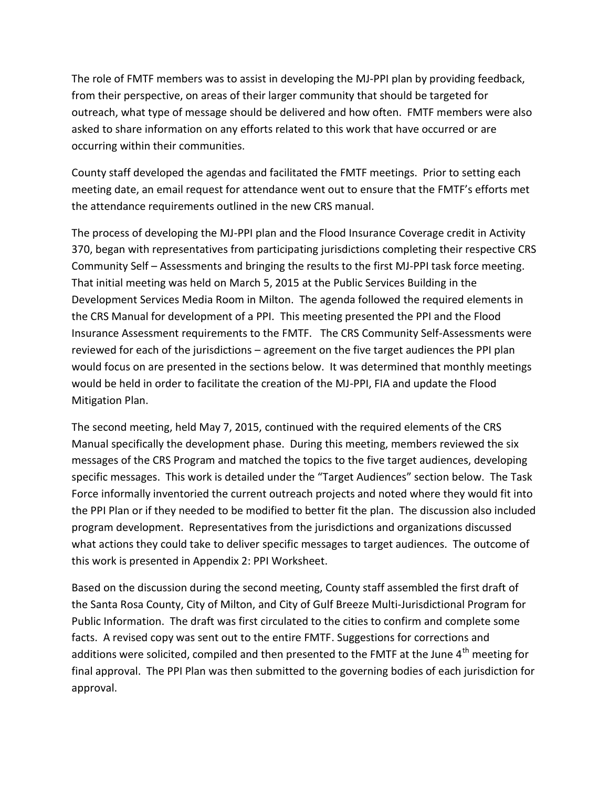The role of FMTF members was to assist in developing the MJ-PPI plan by providing feedback, from their perspective, on areas of their larger community that should be targeted for outreach, what type of message should be delivered and how often. FMTF members were also asked to share information on any efforts related to this work that have occurred or are occurring within their communities.

County staff developed the agendas and facilitated the FMTF meetings. Prior to setting each meeting date, an email request for attendance went out to ensure that the FMTF's efforts met the attendance requirements outlined in the new CRS manual.

The process of developing the MJ-PPI plan and the Flood Insurance Coverage credit in Activity 370, began with representatives from participating jurisdictions completing their respective CRS Community Self – Assessments and bringing the results to the first MJ-PPI task force meeting. That initial meeting was held on March 5, 2015 at the Public Services Building in the Development Services Media Room in Milton. The agenda followed the required elements in the CRS Manual for development of a PPI. This meeting presented the PPI and the Flood Insurance Assessment requirements to the FMTF. The CRS Community Self-Assessments were reviewed for each of the jurisdictions – agreement on the five target audiences the PPI plan would focus on are presented in the sections below. It was determined that monthly meetings would be held in order to facilitate the creation of the MJ-PPI, FIA and update the Flood Mitigation Plan.

The second meeting, held May 7, 2015, continued with the required elements of the CRS Manual specifically the development phase. During this meeting, members reviewed the six messages of the CRS Program and matched the topics to the five target audiences, developing specific messages. This work is detailed under the "Target Audiences" section below. The Task Force informally inventoried the current outreach projects and noted where they would fit into the PPI Plan or if they needed to be modified to better fit the plan. The discussion also included program development. Representatives from the jurisdictions and organizations discussed what actions they could take to deliver specific messages to target audiences. The outcome of this work is presented in Appendix 2: PPI Worksheet.

Based on the discussion during the second meeting, County staff assembled the first draft of the Santa Rosa County, City of Milton, and City of Gulf Breeze Multi-Jurisdictional Program for Public Information. The draft was first circulated to the cities to confirm and complete some facts. A revised copy was sent out to the entire FMTF. Suggestions for corrections and additions were solicited, compiled and then presented to the FMTF at the June  $4^{\text{th}}$  meeting for final approval. The PPI Plan was then submitted to the governing bodies of each jurisdiction for approval.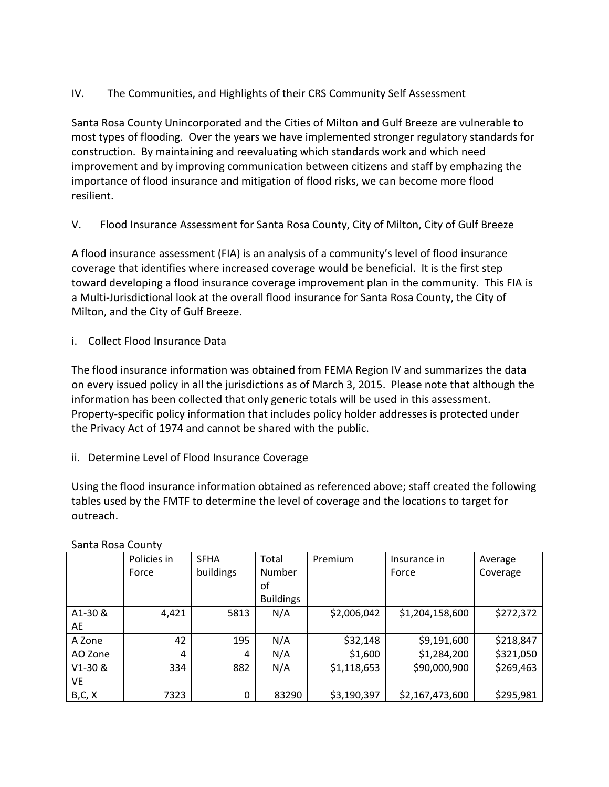IV. The Communities, and Highlights of their CRS Community Self Assessment

Santa Rosa County Unincorporated and the Cities of Milton and Gulf Breeze are vulnerable to most types of flooding. Over the years we have implemented stronger regulatory standards for construction. By maintaining and reevaluating which standards work and which need improvement and by improving communication between citizens and staff by emphazing the importance of flood insurance and mitigation of flood risks, we can become more flood resilient.

V. Flood Insurance Assessment for Santa Rosa County, City of Milton, City of Gulf Breeze

A flood insurance assessment (FIA) is an analysis of a community's level of flood insurance coverage that identifies where increased coverage would be beneficial. It is the first step toward developing a flood insurance coverage improvement plan in the community. This FIA is a Multi-Jurisdictional look at the overall flood insurance for Santa Rosa County, the City of Milton, and the City of Gulf Breeze.

i. Collect Flood Insurance Data

The flood insurance information was obtained from FEMA Region IV and summarizes the data on every issued policy in all the jurisdictions as of March 3, 2015. Please note that although the information has been collected that only generic totals will be used in this assessment. Property-specific policy information that includes policy holder addresses is protected under the Privacy Act of 1974 and cannot be shared with the public.

# ii. Determine Level of Flood Insurance Coverage

Using the flood insurance information obtained as referenced above; staff created the following tables used by the FMTF to determine the level of coverage and the locations to target for outreach.

|           | Policies in | <b>SFHA</b> | Total            | Premium     | Insurance in    | Average   |
|-----------|-------------|-------------|------------------|-------------|-----------------|-----------|
|           | Force       | buildings   | Number           |             | Force           | Coverage  |
|           |             |             | οf               |             |                 |           |
|           |             |             | <b>Buildings</b> |             |                 |           |
| A1-30 &   | 4,421       | 5813        | N/A              | \$2,006,042 | \$1,204,158,600 | \$272,372 |
| AE        |             |             |                  |             |                 |           |
| A Zone    | 42          | 195         | N/A              | \$32,148    | \$9,191,600     | \$218,847 |
| AO Zone   | 4           | 4           | N/A              | \$1,600     | \$1,284,200     | \$321,050 |
| $V1-30 &$ | 334         | 882         | N/A              | \$1,118,653 | \$90,000,900    | \$269,463 |
| VE        |             |             |                  |             |                 |           |
| B, C, X   | 7323        | 0           | 83290            | \$3,190,397 | \$2,167,473,600 | \$295,981 |

Santa Rosa County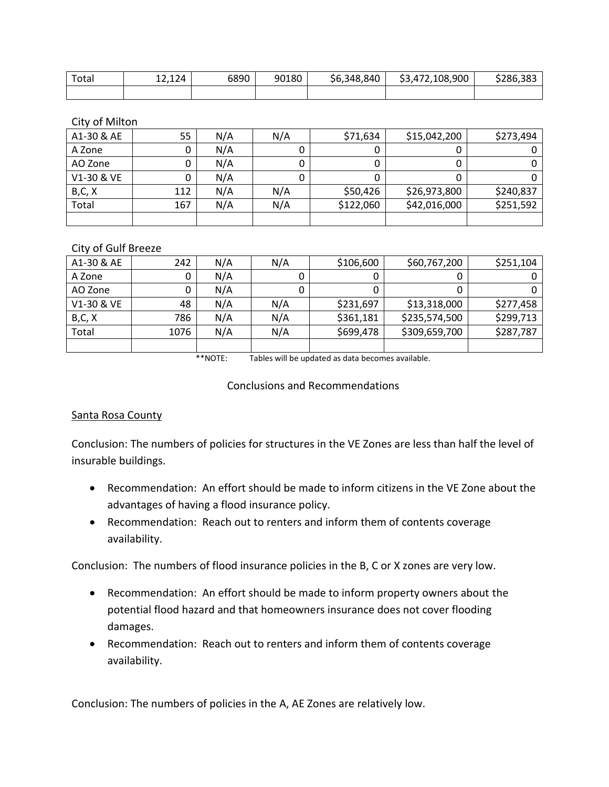| $\tau$ ota. | 12 <sub>4</sub><br>------ | 6890 | 90180 | \$6,348,840 | 108,900<br>ັ | $\sim$ $\sim$<br>786.385 |
|-------------|---------------------------|------|-------|-------------|--------------|--------------------------|
|             |                           |      |       |             |              |                          |

City of Milton

| A1-30 & AE | 55  | N/A | N/A | \$71,634  | \$15,042,200 | \$273,494 |
|------------|-----|-----|-----|-----------|--------------|-----------|
| A Zone     |     | N/A |     |           |              |           |
| AO Zone    |     | N/A |     |           |              |           |
| V1-30 & VE |     | N/A |     |           |              |           |
| B, C, X    | 112 | N/A | N/A | \$50,426  | \$26,973,800 | \$240,837 |
| Total      | 167 | N/A | N/A | \$122,060 | \$42,016,000 | \$251,592 |
|            |     |     |     |           |              |           |

#### City of Gulf Breeze

| A1-30 & AE | 242  | N/A | N/A | \$106,600 | \$60,767,200  | \$251,104 |
|------------|------|-----|-----|-----------|---------------|-----------|
| A Zone     |      | N/A |     | U         |               |           |
| AO Zone    |      | N/A |     |           |               |           |
| V1-30 & VE | 48   | N/A | N/A | \$231,697 | \$13,318,000  | \$277,458 |
| B, C, X    | 786  | N/A | N/A | \$361,181 | \$235,574,500 | \$299,713 |
| Total      | 1076 | N/A | N/A | \$699,478 | \$309,659,700 | \$287,787 |
|            |      |     |     |           |               |           |

\*\*NOTE: Tables will be updated as data becomes available.

Conclusions and Recommendations

#### Santa Rosa County

Conclusion: The numbers of policies for structures in the VE Zones are less than half the level of insurable buildings.

- Recommendation: An effort should be made to inform citizens in the VE Zone about the advantages of having a flood insurance policy.
- Recommendation: Reach out to renters and inform them of contents coverage availability.

Conclusion: The numbers of flood insurance policies in the B, C or X zones are very low.

- Recommendation: An effort should be made to inform property owners about the potential flood hazard and that homeowners insurance does not cover flooding damages.
- Recommendation: Reach out to renters and inform them of contents coverage availability.

Conclusion: The numbers of policies in the A, AE Zones are relatively low.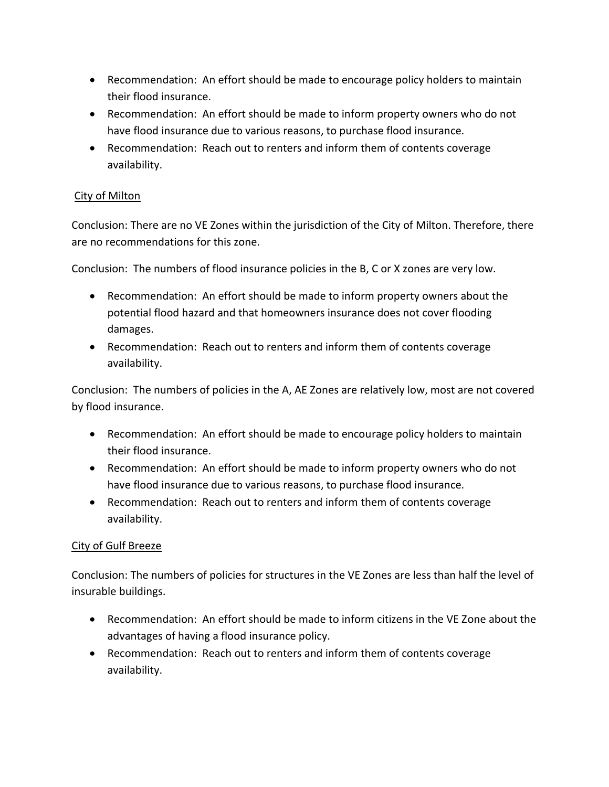- Recommendation: An effort should be made to encourage policy holders to maintain their flood insurance.
- Recommendation: An effort should be made to inform property owners who do not have flood insurance due to various reasons, to purchase flood insurance.
- Recommendation: Reach out to renters and inform them of contents coverage availability.

# City of Milton

Conclusion: There are no VE Zones within the jurisdiction of the City of Milton. Therefore, there are no recommendations for this zone.

Conclusion: The numbers of flood insurance policies in the B, C or X zones are very low.

- Recommendation: An effort should be made to inform property owners about the potential flood hazard and that homeowners insurance does not cover flooding damages.
- Recommendation: Reach out to renters and inform them of contents coverage availability.

Conclusion: The numbers of policies in the A, AE Zones are relatively low, most are not covered by flood insurance.

- Recommendation: An effort should be made to encourage policy holders to maintain their flood insurance.
- Recommendation: An effort should be made to inform property owners who do not have flood insurance due to various reasons, to purchase flood insurance.
- Recommendation: Reach out to renters and inform them of contents coverage availability.

# City of Gulf Breeze

Conclusion: The numbers of policies for structures in the VE Zones are less than half the level of insurable buildings.

- Recommendation: An effort should be made to inform citizens in the VE Zone about the advantages of having a flood insurance policy.
- Recommendation: Reach out to renters and inform them of contents coverage availability.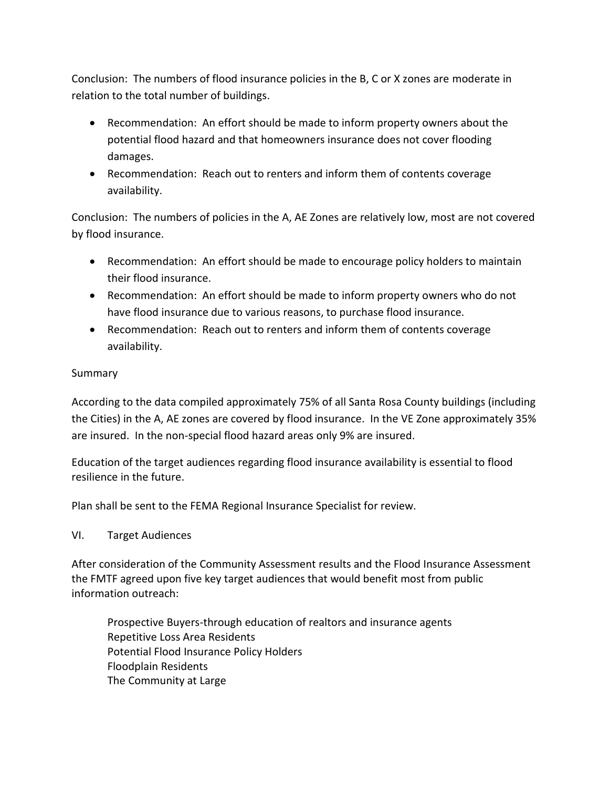Conclusion: The numbers of flood insurance policies in the B, C or X zones are moderate in relation to the total number of buildings.

- Recommendation: An effort should be made to inform property owners about the potential flood hazard and that homeowners insurance does not cover flooding damages.
- Recommendation: Reach out to renters and inform them of contents coverage availability.

Conclusion: The numbers of policies in the A, AE Zones are relatively low, most are not covered by flood insurance.

- Recommendation: An effort should be made to encourage policy holders to maintain their flood insurance.
- Recommendation: An effort should be made to inform property owners who do not have flood insurance due to various reasons, to purchase flood insurance.
- Recommendation: Reach out to renters and inform them of contents coverage availability.

# Summary

According to the data compiled approximately 75% of all Santa Rosa County buildings (including the Cities) in the A, AE zones are covered by flood insurance. In the VE Zone approximately 35% are insured. In the non-special flood hazard areas only 9% are insured.

Education of the target audiences regarding flood insurance availability is essential to flood resilience in the future.

Plan shall be sent to the FEMA Regional Insurance Specialist for review.

# VI. Target Audiences

After consideration of the Community Assessment results and the Flood Insurance Assessment the FMTF agreed upon five key target audiences that would benefit most from public information outreach:

Prospective Buyers-through education of realtors and insurance agents Repetitive Loss Area Residents Potential Flood Insurance Policy Holders Floodplain Residents The Community at Large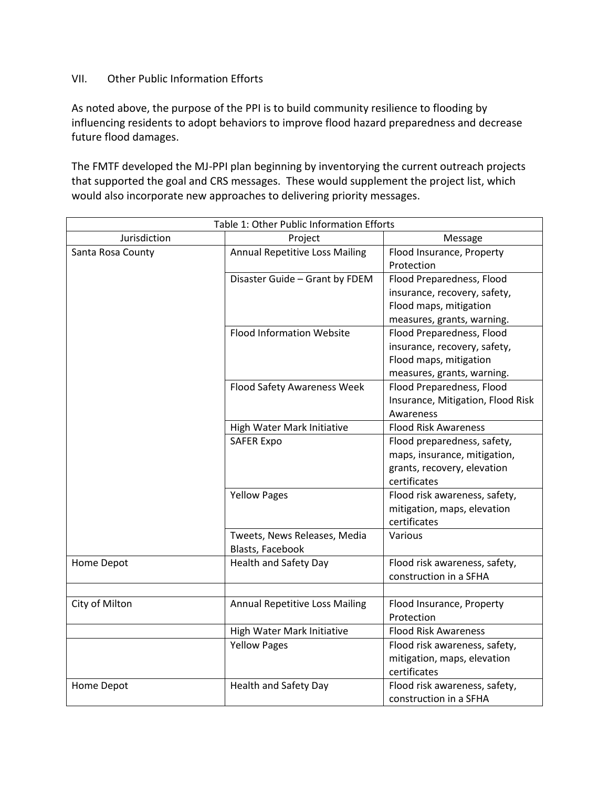#### VII. Other Public Information Efforts

As noted above, the purpose of the PPI is to build community resilience to flooding by influencing residents to adopt behaviors to improve flood hazard preparedness and decrease future flood damages.

The FMTF developed the MJ-PPI plan beginning by inventorying the current outreach projects that supported the goal and CRS messages. These would supplement the project list, which would also incorporate new approaches to delivering priority messages.

| Table 1: Other Public Information Efforts |                                       |                                   |  |  |  |  |  |
|-------------------------------------------|---------------------------------------|-----------------------------------|--|--|--|--|--|
| Jurisdiction<br>Project<br>Message        |                                       |                                   |  |  |  |  |  |
| Santa Rosa County                         | <b>Annual Repetitive Loss Mailing</b> | Flood Insurance, Property         |  |  |  |  |  |
|                                           |                                       | Protection                        |  |  |  |  |  |
|                                           | Disaster Guide - Grant by FDEM        | Flood Preparedness, Flood         |  |  |  |  |  |
|                                           |                                       | insurance, recovery, safety,      |  |  |  |  |  |
|                                           |                                       | Flood maps, mitigation            |  |  |  |  |  |
|                                           |                                       | measures, grants, warning.        |  |  |  |  |  |
|                                           | <b>Flood Information Website</b>      | Flood Preparedness, Flood         |  |  |  |  |  |
|                                           |                                       | insurance, recovery, safety,      |  |  |  |  |  |
|                                           |                                       | Flood maps, mitigation            |  |  |  |  |  |
|                                           |                                       | measures, grants, warning.        |  |  |  |  |  |
|                                           | <b>Flood Safety Awareness Week</b>    | Flood Preparedness, Flood         |  |  |  |  |  |
|                                           |                                       | Insurance, Mitigation, Flood Risk |  |  |  |  |  |
|                                           |                                       | Awareness                         |  |  |  |  |  |
|                                           | High Water Mark Initiative            | <b>Flood Risk Awareness</b>       |  |  |  |  |  |
|                                           | <b>SAFER Expo</b>                     | Flood preparedness, safety,       |  |  |  |  |  |
|                                           |                                       | maps, insurance, mitigation,      |  |  |  |  |  |
|                                           |                                       | grants, recovery, elevation       |  |  |  |  |  |
|                                           |                                       | certificates                      |  |  |  |  |  |
|                                           | <b>Yellow Pages</b>                   | Flood risk awareness, safety,     |  |  |  |  |  |
|                                           |                                       | mitigation, maps, elevation       |  |  |  |  |  |
|                                           |                                       | certificates                      |  |  |  |  |  |
|                                           | Tweets, News Releases, Media          | Various                           |  |  |  |  |  |
|                                           | Blasts, Facebook                      |                                   |  |  |  |  |  |
| Home Depot                                | <b>Health and Safety Day</b>          | Flood risk awareness, safety,     |  |  |  |  |  |
|                                           |                                       | construction in a SFHA            |  |  |  |  |  |
|                                           |                                       |                                   |  |  |  |  |  |
| City of Milton                            | <b>Annual Repetitive Loss Mailing</b> | Flood Insurance, Property         |  |  |  |  |  |
|                                           |                                       | Protection                        |  |  |  |  |  |
|                                           | High Water Mark Initiative            | <b>Flood Risk Awareness</b>       |  |  |  |  |  |
|                                           | <b>Yellow Pages</b>                   | Flood risk awareness, safety,     |  |  |  |  |  |
|                                           |                                       | mitigation, maps, elevation       |  |  |  |  |  |
|                                           |                                       | certificates                      |  |  |  |  |  |
| Home Depot                                | Health and Safety Day                 | Flood risk awareness, safety,     |  |  |  |  |  |
|                                           |                                       | construction in a SFHA            |  |  |  |  |  |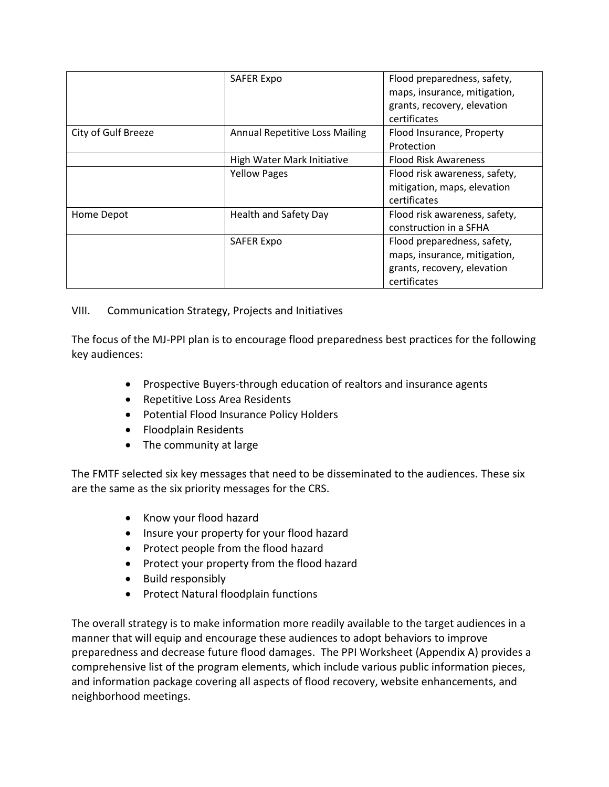|                     | <b>SAFER Expo</b>                     | Flood preparedness, safety,   |
|---------------------|---------------------------------------|-------------------------------|
|                     |                                       | maps, insurance, mitigation,  |
|                     |                                       | grants, recovery, elevation   |
|                     |                                       | certificates                  |
| City of Gulf Breeze | <b>Annual Repetitive Loss Mailing</b> | Flood Insurance, Property     |
|                     |                                       | Protection                    |
|                     | High Water Mark Initiative            | <b>Flood Risk Awareness</b>   |
|                     | <b>Yellow Pages</b>                   | Flood risk awareness, safety, |
|                     |                                       | mitigation, maps, elevation   |
|                     |                                       | certificates                  |
| Home Depot          | <b>Health and Safety Day</b>          | Flood risk awareness, safety, |
|                     |                                       | construction in a SFHA        |
|                     | <b>SAFER Expo</b>                     | Flood preparedness, safety,   |
|                     |                                       | maps, insurance, mitigation,  |
|                     |                                       | grants, recovery, elevation   |
|                     |                                       | certificates                  |

# VIII. Communication Strategy, Projects and Initiatives

The focus of the MJ-PPI plan is to encourage flood preparedness best practices for the following key audiences:

- Prospective Buyers-through education of realtors and insurance agents
- Repetitive Loss Area Residents
- Potential Flood Insurance Policy Holders
- Floodplain Residents
- The community at large

The FMTF selected six key messages that need to be disseminated to the audiences. These six are the same as the six priority messages for the CRS.

- Know your flood hazard
- Insure your property for your flood hazard
- Protect people from the flood hazard
- Protect your property from the flood hazard
- Build responsibly
- Protect Natural floodplain functions

The overall strategy is to make information more readily available to the target audiences in a manner that will equip and encourage these audiences to adopt behaviors to improve preparedness and decrease future flood damages. The PPI Worksheet (Appendix A) provides a comprehensive list of the program elements, which include various public information pieces, and information package covering all aspects of flood recovery, website enhancements, and neighborhood meetings.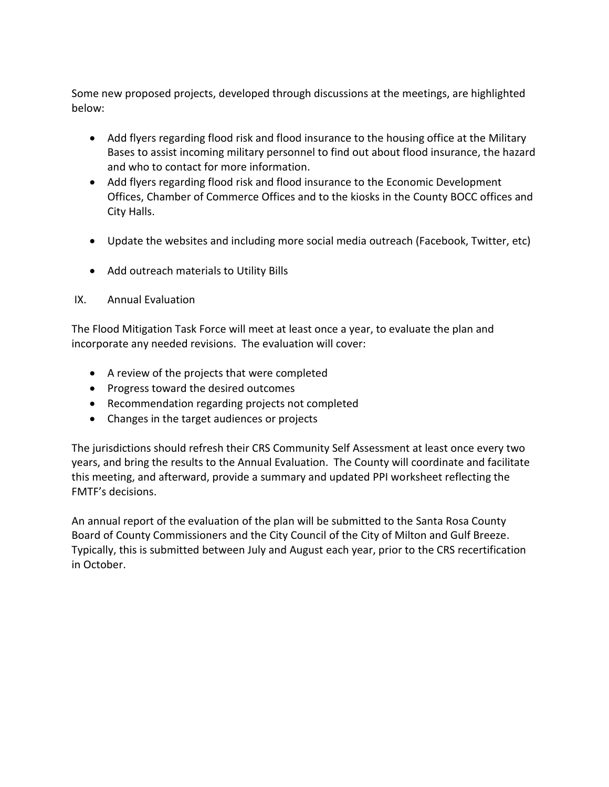Some new proposed projects, developed through discussions at the meetings, are highlighted below:

- Add flyers regarding flood risk and flood insurance to the housing office at the Military Bases to assist incoming military personnel to find out about flood insurance, the hazard and who to contact for more information.
- Add flyers regarding flood risk and flood insurance to the Economic Development Offices, Chamber of Commerce Offices and to the kiosks in the County BOCC offices and City Halls.
- Update the websites and including more social media outreach (Facebook, Twitter, etc)
- Add outreach materials to Utility Bills
- IX. Annual Evaluation

The Flood Mitigation Task Force will meet at least once a year, to evaluate the plan and incorporate any needed revisions. The evaluation will cover:

- A review of the projects that were completed
- Progress toward the desired outcomes
- Recommendation regarding projects not completed
- Changes in the target audiences or projects

The jurisdictions should refresh their CRS Community Self Assessment at least once every two years, and bring the results to the Annual Evaluation. The County will coordinate and facilitate this meeting, and afterward, provide a summary and updated PPI worksheet reflecting the FMTF's decisions.

An annual report of the evaluation of the plan will be submitted to the Santa Rosa County Board of County Commissioners and the City Council of the City of Milton and Gulf Breeze. Typically, this is submitted between July and August each year, prior to the CRS recertification in October.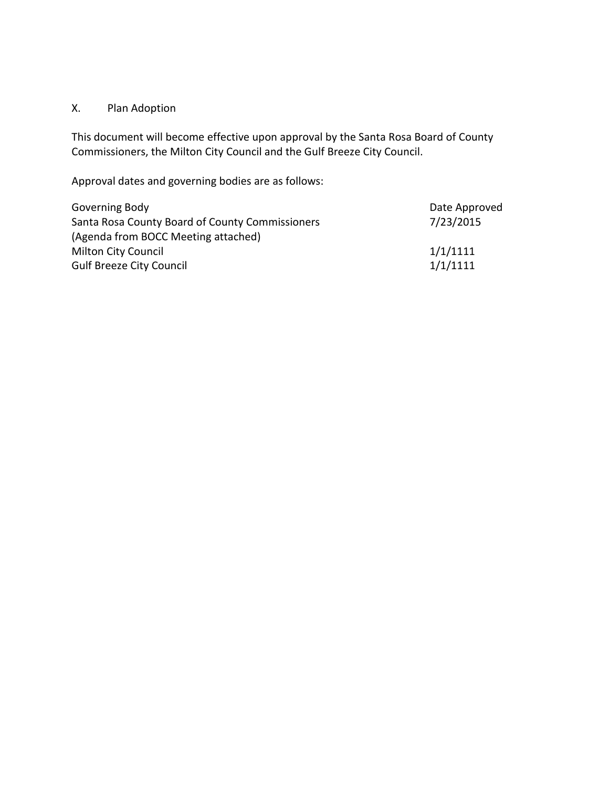# X. Plan Adoption

This document will become effective upon approval by the Santa Rosa Board of County Commissioners, the Milton City Council and the Gulf Breeze City Council.

Approval dates and governing bodies are as follows:

| Governing Body                                  | Date Approved |
|-------------------------------------------------|---------------|
| Santa Rosa County Board of County Commissioners | 7/23/2015     |
| (Agenda from BOCC Meeting attached)             |               |
| <b>Milton City Council</b>                      | 1/1/1111      |
| <b>Gulf Breeze City Council</b>                 | 1/1/1111      |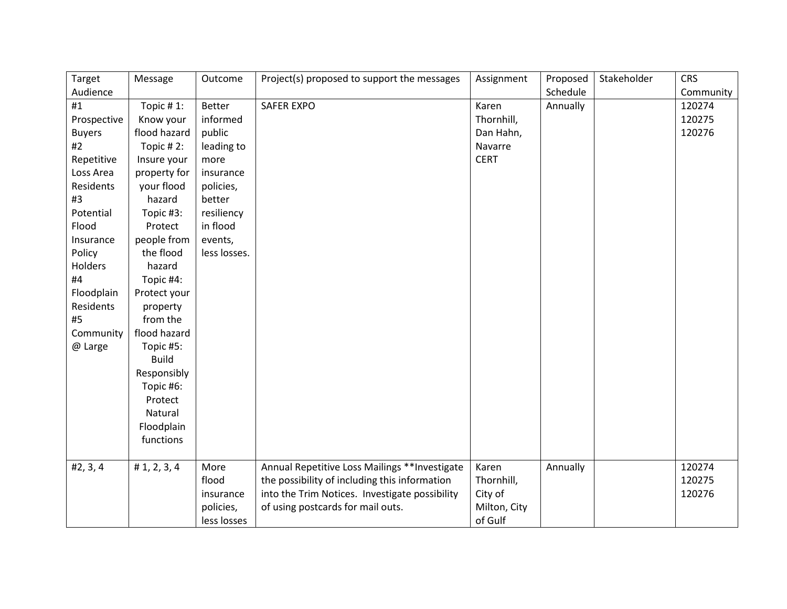| Target        | Message       | Outcome       | Project(s) proposed to support the messages    | Assignment   | Proposed | Stakeholder | <b>CRS</b> |
|---------------|---------------|---------------|------------------------------------------------|--------------|----------|-------------|------------|
| Audience      |               |               |                                                |              | Schedule |             | Community  |
| #1            | Topic # $1$ : | <b>Better</b> | <b>SAFER EXPO</b>                              | Karen        | Annually |             | 120274     |
| Prospective   | Know your     | informed      |                                                | Thornhill,   |          |             | 120275     |
| <b>Buyers</b> | flood hazard  | public        |                                                | Dan Hahn,    |          |             | 120276     |
| #2            | Topic #2:     | leading to    |                                                | Navarre      |          |             |            |
| Repetitive    | Insure your   | more          |                                                | <b>CERT</b>  |          |             |            |
| Loss Area     | property for  | insurance     |                                                |              |          |             |            |
| Residents     | your flood    | policies,     |                                                |              |          |             |            |
| #3            | hazard        | better        |                                                |              |          |             |            |
| Potential     | Topic #3:     | resiliency    |                                                |              |          |             |            |
| Flood         | Protect       | in flood      |                                                |              |          |             |            |
| Insurance     | people from   | events,       |                                                |              |          |             |            |
| Policy        | the flood     | less losses.  |                                                |              |          |             |            |
| Holders       | hazard        |               |                                                |              |          |             |            |
| #4            | Topic #4:     |               |                                                |              |          |             |            |
| Floodplain    | Protect your  |               |                                                |              |          |             |            |
| Residents     | property      |               |                                                |              |          |             |            |
| #5            | from the      |               |                                                |              |          |             |            |
| Community     | flood hazard  |               |                                                |              |          |             |            |
| @ Large       | Topic #5:     |               |                                                |              |          |             |            |
|               | <b>Build</b>  |               |                                                |              |          |             |            |
|               | Responsibly   |               |                                                |              |          |             |            |
|               | Topic #6:     |               |                                                |              |          |             |            |
|               | Protect       |               |                                                |              |          |             |            |
|               | Natural       |               |                                                |              |          |             |            |
|               | Floodplain    |               |                                                |              |          |             |            |
|               | functions     |               |                                                |              |          |             |            |
| #2, 3, 4      | # 1, 2, 3, 4  | More          | Annual Repetitive Loss Mailings ** Investigate | Karen        | Annually |             | 120274     |
|               |               | flood         | the possibility of including this information  | Thornhill,   |          |             | 120275     |
|               |               | insurance     | into the Trim Notices. Investigate possibility | City of      |          |             | 120276     |
|               |               | policies,     | of using postcards for mail outs.              | Milton, City |          |             |            |
|               |               | less losses   |                                                | of Gulf      |          |             |            |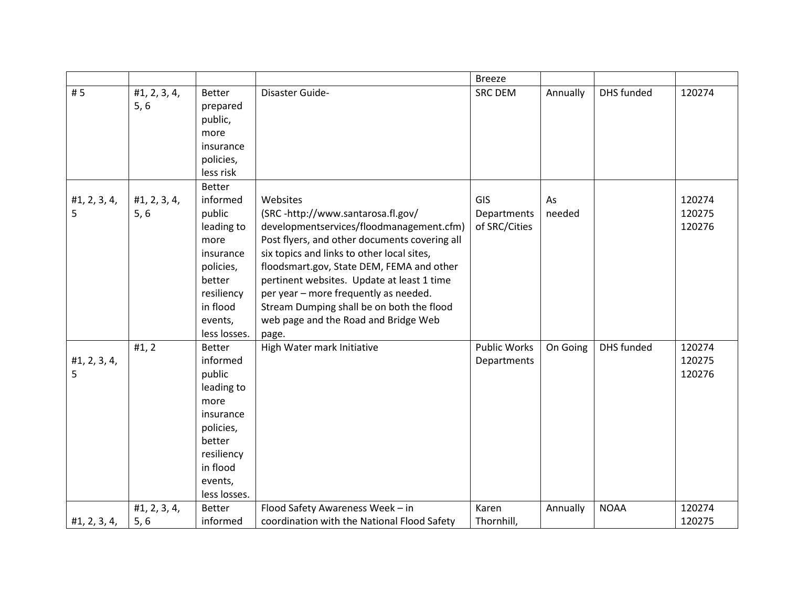|              |                      |                                      |                                                                                           | <b>Breeze</b>       |          |             |        |
|--------------|----------------------|--------------------------------------|-------------------------------------------------------------------------------------------|---------------------|----------|-------------|--------|
| #5           | #1, 2, 3, 4,<br>5, 6 | <b>Better</b><br>prepared<br>public, | Disaster Guide-                                                                           | <b>SRC DEM</b>      | Annually | DHS funded  | 120274 |
|              |                      | more                                 |                                                                                           |                     |          |             |        |
|              |                      | insurance                            |                                                                                           |                     |          |             |        |
|              |                      | policies,                            |                                                                                           |                     |          |             |        |
|              |                      | less risk                            |                                                                                           |                     |          |             |        |
|              |                      | Better                               |                                                                                           |                     |          |             |        |
| #1, 2, 3, 4, | #1, 2, 3, 4,         | informed                             | Websites                                                                                  | GIS                 | As       |             | 120274 |
| 5            | 5, 6                 | public                               | (SRC-http://www.santarosa.fl.gov/                                                         | Departments         | needed   |             | 120275 |
|              |                      | leading to<br>more                   | developmentservices/floodmanagement.cfm)<br>Post flyers, and other documents covering all | of SRC/Cities       |          |             | 120276 |
|              |                      | insurance                            | six topics and links to other local sites,                                                |                     |          |             |        |
|              |                      | policies,                            | floodsmart.gov, State DEM, FEMA and other                                                 |                     |          |             |        |
|              |                      | better                               | pertinent websites. Update at least 1 time                                                |                     |          |             |        |
|              |                      | resiliency                           | per year - more frequently as needed.                                                     |                     |          |             |        |
|              |                      | in flood                             | Stream Dumping shall be on both the flood                                                 |                     |          |             |        |
|              |                      | events,                              | web page and the Road and Bridge Web                                                      |                     |          |             |        |
|              |                      | less losses.                         | page.                                                                                     |                     |          |             |        |
|              | #1, 2                | <b>Better</b>                        | High Water mark Initiative                                                                | <b>Public Works</b> | On Going | DHS funded  | 120274 |
| #1, 2, 3, 4, |                      | informed                             |                                                                                           | Departments         |          |             | 120275 |
| 5            |                      | public                               |                                                                                           |                     |          |             | 120276 |
|              |                      | leading to                           |                                                                                           |                     |          |             |        |
|              |                      | more                                 |                                                                                           |                     |          |             |        |
|              |                      | insurance                            |                                                                                           |                     |          |             |        |
|              |                      | policies,                            |                                                                                           |                     |          |             |        |
|              |                      | better                               |                                                                                           |                     |          |             |        |
|              |                      | resiliency                           |                                                                                           |                     |          |             |        |
|              |                      | in flood                             |                                                                                           |                     |          |             |        |
|              |                      | events,                              |                                                                                           |                     |          |             |        |
|              |                      | less losses.                         |                                                                                           |                     |          |             |        |
|              | #1, 2, 3, 4,         | Better                               | Flood Safety Awareness Week - in                                                          | Karen               | Annually | <b>NOAA</b> | 120274 |
| #1, 2, 3, 4, | 5, 6                 | informed                             | coordination with the National Flood Safety                                               | Thornhill,          |          |             | 120275 |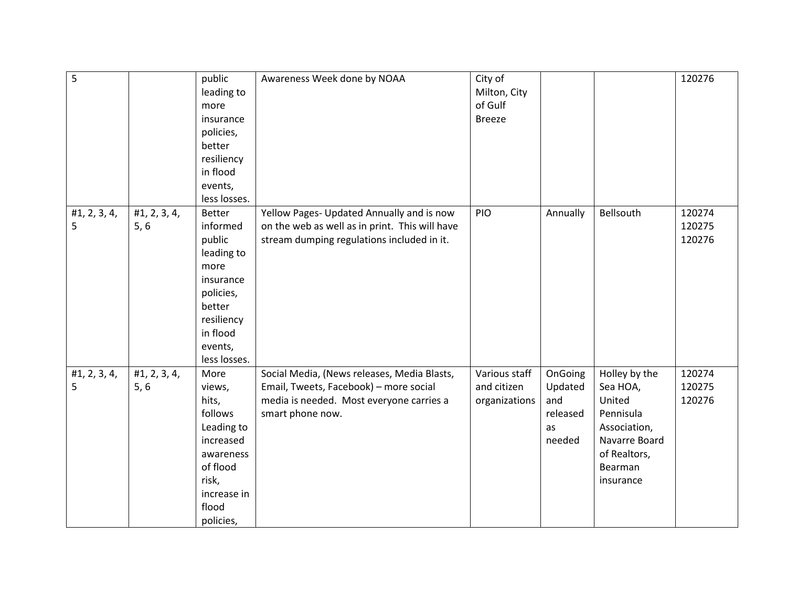| 5            |              | public                 | Awareness Week done by NOAA                    | City of       |          |               | 120276 |
|--------------|--------------|------------------------|------------------------------------------------|---------------|----------|---------------|--------|
|              |              | leading to             |                                                | Milton, City  |          |               |        |
|              |              | more                   |                                                | of Gulf       |          |               |        |
|              |              | insurance              |                                                | <b>Breeze</b> |          |               |        |
|              |              | policies,              |                                                |               |          |               |        |
|              |              |                        |                                                |               |          |               |        |
|              |              | better                 |                                                |               |          |               |        |
|              |              | resiliency<br>in flood |                                                |               |          |               |        |
|              |              | events,                |                                                |               |          |               |        |
|              |              | less losses.           |                                                |               |          |               |        |
|              |              | <b>Better</b>          |                                                | PIO           |          | Bellsouth     | 120274 |
| #1, 2, 3, 4, | #1, 2, 3, 4, |                        | Yellow Pages- Updated Annually and is now      |               | Annually |               |        |
| 5            | 5, 6         | informed               | on the web as well as in print. This will have |               |          |               | 120275 |
|              |              | public                 | stream dumping regulations included in it.     |               |          |               | 120276 |
|              |              | leading to             |                                                |               |          |               |        |
|              |              | more                   |                                                |               |          |               |        |
|              |              | insurance              |                                                |               |          |               |        |
|              |              | policies,              |                                                |               |          |               |        |
|              |              | better                 |                                                |               |          |               |        |
|              |              | resiliency             |                                                |               |          |               |        |
|              |              | in flood               |                                                |               |          |               |        |
|              |              | events,                |                                                |               |          |               |        |
|              |              | less losses.           |                                                |               |          |               |        |
| #1, 2, 3, 4, | #1, 2, 3, 4, | More                   | Social Media, (News releases, Media Blasts,    | Various staff | OnGoing  | Holley by the | 120274 |
| 5            | 5, 6         | views,                 | Email, Tweets, Facebook) - more social         | and citizen   | Updated  | Sea HOA,      | 120275 |
|              |              | hits,                  | media is needed. Most everyone carries a       | organizations | and      | United        | 120276 |
|              |              | follows                | smart phone now.                               |               | released | Pennisula     |        |
|              |              | Leading to             |                                                |               | as       | Association,  |        |
|              |              | increased              |                                                |               | needed   | Navarre Board |        |
|              |              | awareness              |                                                |               |          | of Realtors,  |        |
|              |              | of flood               |                                                |               |          | Bearman       |        |
|              |              | risk,                  |                                                |               |          | insurance     |        |
|              |              | increase in            |                                                |               |          |               |        |
|              |              | flood                  |                                                |               |          |               |        |
|              |              | policies,              |                                                |               |          |               |        |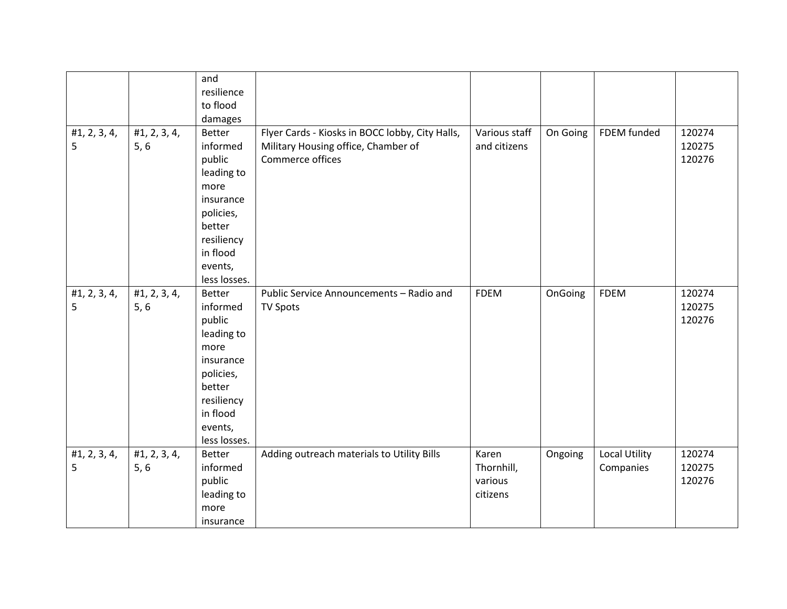|                   |                      | and<br>resilience<br>to flood<br>damages                                                                                                           |                                                                                                            |                                            |          |                                   |                            |
|-------------------|----------------------|----------------------------------------------------------------------------------------------------------------------------------------------------|------------------------------------------------------------------------------------------------------------|--------------------------------------------|----------|-----------------------------------|----------------------------|
| #1, 2, 3, 4,<br>5 | #1, 2, 3, 4,<br>5, 6 | Better<br>informed<br>public<br>leading to<br>more<br>insurance<br>policies,<br>better<br>resiliency<br>in flood<br>events,<br>less losses.        | Flyer Cards - Kiosks in BOCC lobby, City Halls,<br>Military Housing office, Chamber of<br>Commerce offices | Various staff<br>and citizens              | On Going | FDEM funded                       | 120274<br>120275<br>120276 |
| #1, 2, 3, 4,<br>5 | #1, 2, 3, 4,<br>5, 6 | <b>Better</b><br>informed<br>public<br>leading to<br>more<br>insurance<br>policies,<br>better<br>resiliency<br>in flood<br>events,<br>less losses. | Public Service Announcements - Radio and<br><b>TV Spots</b>                                                | <b>FDEM</b>                                | OnGoing  | <b>FDEM</b>                       | 120274<br>120275<br>120276 |
| #1, 2, 3, 4,<br>5 | #1, 2, 3, 4,<br>5, 6 | <b>Better</b><br>informed<br>public<br>leading to<br>more<br>insurance                                                                             | Adding outreach materials to Utility Bills                                                                 | Karen<br>Thornhill,<br>various<br>citizens | Ongoing  | <b>Local Utility</b><br>Companies | 120274<br>120275<br>120276 |